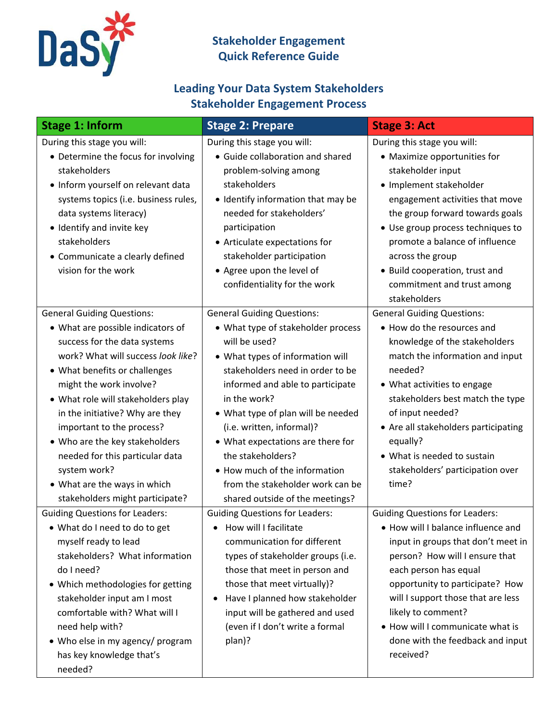

## **Stakeholder Engagement Quick Reference Guide**

## **Leading Your Data System Stakeholders Stakeholder Engagement Process**

| <b>Stage 1: Inform</b>                                                                                                                                                                                                                                                                                                                                                                                                                                                 | <b>Stage 2: Prepare</b>                                                                                                                                                                                                                                                                                                                                                                                                                                   | <b>Stage 3: Act</b>                                                                                                                                                                                                                                                                                                                                                   |
|------------------------------------------------------------------------------------------------------------------------------------------------------------------------------------------------------------------------------------------------------------------------------------------------------------------------------------------------------------------------------------------------------------------------------------------------------------------------|-----------------------------------------------------------------------------------------------------------------------------------------------------------------------------------------------------------------------------------------------------------------------------------------------------------------------------------------------------------------------------------------------------------------------------------------------------------|-----------------------------------------------------------------------------------------------------------------------------------------------------------------------------------------------------------------------------------------------------------------------------------------------------------------------------------------------------------------------|
| During this stage you will:<br>• Determine the focus for involving<br>stakeholders<br>• Inform yourself on relevant data<br>systems topics (i.e. business rules,<br>data systems literacy)<br>• Identify and invite key<br>stakeholders<br>• Communicate a clearly defined<br>vision for the work                                                                                                                                                                      | During this stage you will:<br>• Guide collaboration and shared<br>problem-solving among<br>stakeholders<br>• Identify information that may be<br>needed for stakeholders'<br>participation<br>• Articulate expectations for<br>stakeholder participation<br>• Agree upon the level of<br>confidentiality for the work                                                                                                                                    | During this stage you will:<br>• Maximize opportunities for<br>stakeholder input<br>• Implement stakeholder<br>engagement activities that move<br>the group forward towards goals<br>• Use group process techniques to<br>promote a balance of influence<br>across the group<br>• Build cooperation, trust and<br>commitment and trust among<br>stakeholders          |
| <b>General Guiding Questions:</b><br>• What are possible indicators of<br>success for the data systems<br>work? What will success look like?<br>• What benefits or challenges<br>might the work involve?<br>• What role will stakeholders play<br>in the initiative? Why are they<br>important to the process?<br>• Who are the key stakeholders<br>needed for this particular data<br>system work?<br>• What are the ways in which<br>stakeholders might participate? | <b>General Guiding Questions:</b><br>• What type of stakeholder process<br>will be used?<br>• What types of information will<br>stakeholders need in order to be<br>informed and able to participate<br>in the work?<br>• What type of plan will be needed<br>(i.e. written, informal)?<br>• What expectations are there for<br>the stakeholders?<br>• How much of the information<br>from the stakeholder work can be<br>shared outside of the meetings? | <b>General Guiding Questions:</b><br>• How do the resources and<br>knowledge of the stakeholders<br>match the information and input<br>needed?<br>• What activities to engage<br>stakeholders best match the type<br>of input needed?<br>• Are all stakeholders participating<br>equally?<br>• What is needed to sustain<br>stakeholders' participation over<br>time? |
| <b>Guiding Questions for Leaders:</b><br>• What do I need to do to get<br>myself ready to lead<br>stakeholders? What information<br>do I need?<br>• Which methodologies for getting<br>stakeholder input am I most<br>comfortable with? What will I<br>need help with?<br>• Who else in my agency/ program<br>has key knowledge that's<br>needed?                                                                                                                      | <b>Guiding Questions for Leaders:</b><br>How will I facilitate<br>communication for different<br>types of stakeholder groups (i.e.<br>those that meet in person and<br>those that meet virtually)?<br>Have I planned how stakeholder<br>$\bullet$<br>input will be gathered and used<br>(even if I don't write a formal<br>plan)?                                                                                                                         | <b>Guiding Questions for Leaders:</b><br>• How will I balance influence and<br>input in groups that don't meet in<br>person? How will I ensure that<br>each person has equal<br>opportunity to participate? How<br>will I support those that are less<br>likely to comment?<br>• How will I communicate what is<br>done with the feedback and input<br>received?      |